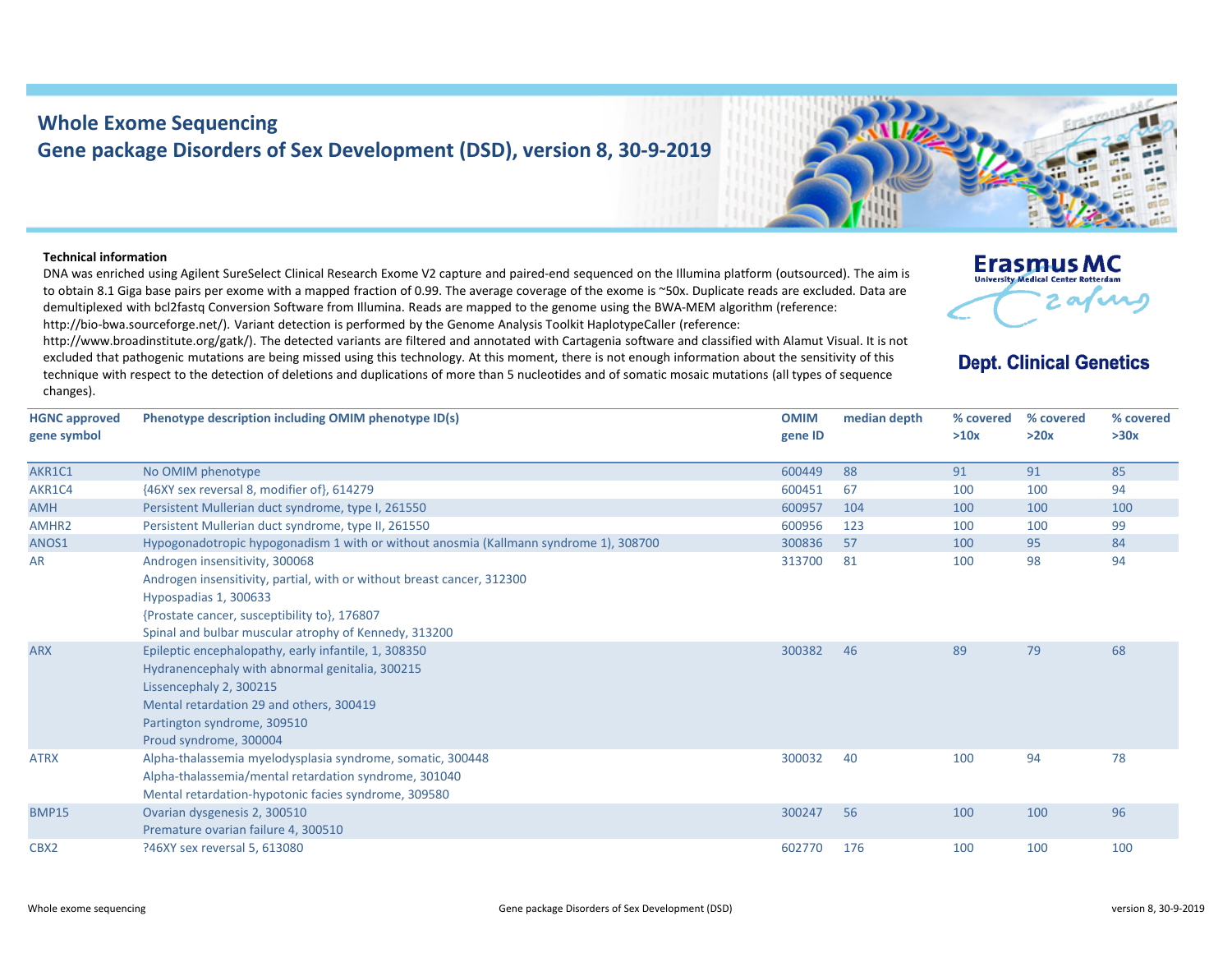## **Whole Exome Sequencing Gene package Disorders of Sex Development (DSD), version 8, 30‐9‐2019**

## **Technical information**

DNA was enriched using Agilent SureSelect Clinical Research Exome V2 capture and paired-end sequenced on the Illumina platform (outsourced). The aim is to obtain 8.1 Giga base pairs per exome with a mapped fraction of 0.99. The average coverage of the exome is ~50x. Duplicate reads are excluded. Data are demultiplexed with bcl2fastq Conversion Software from Illumina. Reads are mapped to the genome using the BWA‐MEM algorithm (reference: http://bio-bwa.sourceforge.net/). Variant detection is performed by the Genome Analysis Toolkit HaplotypeCaller (reference:

http://www.broadinstitute.org/gatk/). The detected variants are filtered and annotated with Cartagenia software and classified with Alamut Visual. It is not excluded that pathogenic mutations are being missed using this technology. At this moment, there is not enough information about the sensitivity of this technique with respect to the detection of deletions and duplications of more than 5 nucleotides and of somatic mosaic mutations (all types of sequence changes).



## **Dept. Clinical Genetics**

| <b>HGNC approved</b><br>gene symbol | Phenotype description including OMIM phenotype ID(s)                                                                                                                                                                                       | <b>OMIM</b><br>gene ID | median depth | % covered<br>>10x | % covered<br>>20x | % covered<br>>30x |
|-------------------------------------|--------------------------------------------------------------------------------------------------------------------------------------------------------------------------------------------------------------------------------------------|------------------------|--------------|-------------------|-------------------|-------------------|
| AKR1C1                              | No OMIM phenotype                                                                                                                                                                                                                          | 600449                 | 88           | 91                | 91                | 85                |
| AKR1C4                              | {46XY sex reversal 8, modifier of}, 614279                                                                                                                                                                                                 | 600451                 | 67           | 100               | 100               | 94                |
| <b>AMH</b>                          | Persistent Mullerian duct syndrome, type I, 261550                                                                                                                                                                                         | 600957                 | 104          | 100               | 100               | 100               |
| AMHR <sub>2</sub>                   | Persistent Mullerian duct syndrome, type II, 261550                                                                                                                                                                                        | 600956                 | 123          | 100               | 100               | 99                |
| ANOS1                               | Hypogonadotropic hypogonadism 1 with or without anosmia (Kallmann syndrome 1), 308700                                                                                                                                                      | 300836                 | 57           | 100               | 95                | 84                |
| <b>AR</b>                           | Androgen insensitivity, 300068<br>Androgen insensitivity, partial, with or without breast cancer, 312300<br>Hypospadias 1, 300633<br>{Prostate cancer, susceptibility to}, 176807<br>Spinal and bulbar muscular atrophy of Kennedy, 313200 | 313700                 | 81           | 100               | 98                | 94                |
| <b>ARX</b>                          | Epileptic encephalopathy, early infantile, 1, 308350<br>Hydranencephaly with abnormal genitalia, 300215<br>Lissencephaly 2, 300215<br>Mental retardation 29 and others, 300419<br>Partington syndrome, 309510<br>Proud syndrome, 300004    | 300382                 | 46           | 89                | 79                | 68                |
| <b>ATRX</b>                         | Alpha-thalassemia myelodysplasia syndrome, somatic, 300448<br>Alpha-thalassemia/mental retardation syndrome, 301040<br>Mental retardation-hypotonic facies syndrome, 309580                                                                | 300032                 | 40           | 100               | 94                | 78                |
| <b>BMP15</b>                        | Ovarian dysgenesis 2, 300510<br>Premature ovarian failure 4, 300510                                                                                                                                                                        | 300247                 | 56           | 100               | 100               | 96                |
| CBX <sub>2</sub>                    | ?46XY sex reversal 5, 613080                                                                                                                                                                                                               | 602770                 | 176          | 100               | 100               | 100               |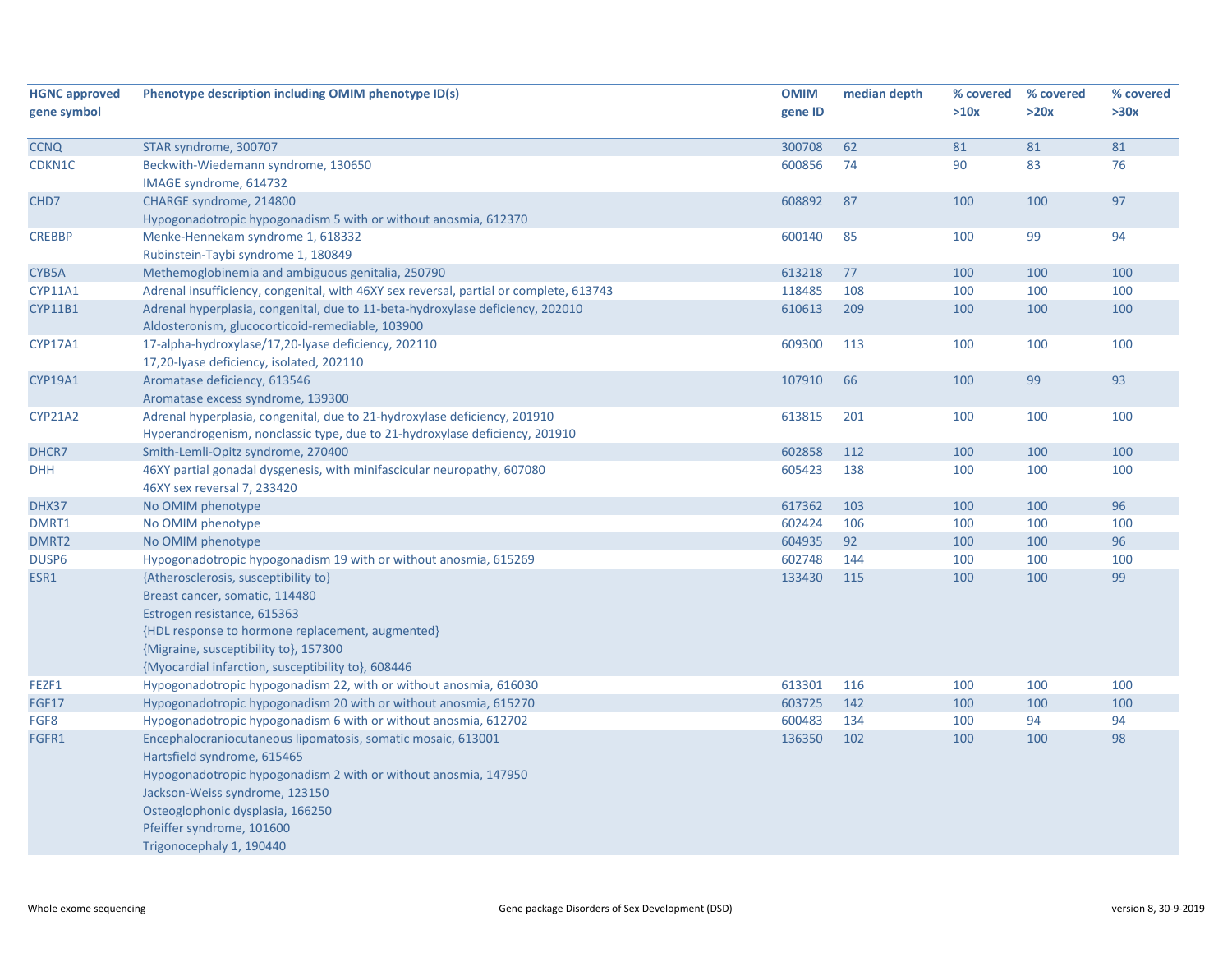| <b>HGNC approved</b> | Phenotype description including OMIM phenotype ID(s)                                   | <b>OMIM</b> | median depth | % covered | % covered | % covered |
|----------------------|----------------------------------------------------------------------------------------|-------------|--------------|-----------|-----------|-----------|
| gene symbol          |                                                                                        | gene ID     |              | >10x      | >20x      | >30x      |
|                      |                                                                                        |             |              |           |           |           |
| <b>CCNQ</b>          | STAR syndrome, 300707                                                                  | 300708      | 62           | 81        | 81        | 81        |
| CDKN1C               | Beckwith-Wiedemann syndrome, 130650                                                    | 600856      | 74           | 90        | 83        | 76        |
|                      | IMAGE syndrome, 614732                                                                 |             |              |           |           |           |
| CHD7                 | CHARGE syndrome, 214800                                                                | 608892      | 87           | 100       | 100       | 97        |
|                      | Hypogonadotropic hypogonadism 5 with or without anosmia, 612370                        |             |              |           |           |           |
| <b>CREBBP</b>        | Menke-Hennekam syndrome 1, 618332                                                      | 600140      | 85           | 100       | 99        | 94        |
|                      | Rubinstein-Taybi syndrome 1, 180849                                                    |             |              |           |           |           |
| CYB5A                | Methemoglobinemia and ambiguous genitalia, 250790                                      | 613218      | 77           | 100       | 100       | 100       |
| <b>CYP11A1</b>       | Adrenal insufficiency, congenital, with 46XY sex reversal, partial or complete, 613743 | 118485      | 108          | 100       | 100       | 100       |
| <b>CYP11B1</b>       | Adrenal hyperplasia, congenital, due to 11-beta-hydroxylase deficiency, 202010         | 610613      | 209          | 100       | 100       | 100       |
|                      | Aldosteronism, glucocorticoid-remediable, 103900                                       |             |              |           |           |           |
| <b>CYP17A1</b>       | 17-alpha-hydroxylase/17,20-lyase deficiency, 202110                                    | 609300      | 113          | 100       | 100       | 100       |
|                      | 17,20-lyase deficiency, isolated, 202110                                               |             |              |           |           |           |
| <b>CYP19A1</b>       | Aromatase deficiency, 613546                                                           | 107910      | 66           | 100       | 99        | 93        |
|                      | Aromatase excess syndrome, 139300                                                      |             |              |           |           |           |
| <b>CYP21A2</b>       | Adrenal hyperplasia, congenital, due to 21-hydroxylase deficiency, 201910              | 613815      | 201          | 100       | 100       | 100       |
|                      | Hyperandrogenism, nonclassic type, due to 21-hydroxylase deficiency, 201910            |             |              |           |           |           |
| DHCR7                | Smith-Lemli-Opitz syndrome, 270400                                                     | 602858      | 112          | 100       | 100       | 100       |
| <b>DHH</b>           | 46XY partial gonadal dysgenesis, with minifascicular neuropathy, 607080                | 605423      | 138          | 100       | 100       | 100       |
|                      | 46XY sex reversal 7, 233420                                                            |             |              |           |           |           |
| DHX37                | No OMIM phenotype                                                                      | 617362      | 103          | 100       | 100       | 96        |
| DMRT1                | No OMIM phenotype                                                                      | 602424      | 106          | 100       | 100       | 100       |
| DMRT <sub>2</sub>    | No OMIM phenotype                                                                      | 604935      | 92           | 100       | 100       | 96        |
| DUSP <sub>6</sub>    | Hypogonadotropic hypogonadism 19 with or without anosmia, 615269                       | 602748      | 144          | 100       | 100       | 100       |
| ESR1                 | {Atherosclerosis, susceptibility to}                                                   | 133430      | 115          | 100       | 100       | 99        |
|                      | Breast cancer, somatic, 114480                                                         |             |              |           |           |           |
|                      | Estrogen resistance, 615363                                                            |             |              |           |           |           |
|                      | {HDL response to hormone replacement, augmented}                                       |             |              |           |           |           |
|                      | {Migraine, susceptibility to}, 157300                                                  |             |              |           |           |           |
|                      | {Myocardial infarction, susceptibility to}, 608446                                     |             |              |           |           |           |
| FEZF1                | Hypogonadotropic hypogonadism 22, with or without anosmia, 616030                      | 613301      | 116          | 100       | 100       | 100       |
| <b>FGF17</b>         | Hypogonadotropic hypogonadism 20 with or without anosmia, 615270                       | 603725      | 142          | 100       | 100       | 100       |
| FGF8                 | Hypogonadotropic hypogonadism 6 with or without anosmia, 612702                        | 600483      | 134          | 100       | 94        | 94        |
| FGFR1                | Encephalocraniocutaneous lipomatosis, somatic mosaic, 613001                           | 136350      | 102          | 100       | 100       | 98        |
|                      | Hartsfield syndrome, 615465                                                            |             |              |           |           |           |
|                      | Hypogonadotropic hypogonadism 2 with or without anosmia, 147950                        |             |              |           |           |           |
|                      | Jackson-Weiss syndrome, 123150                                                         |             |              |           |           |           |
|                      | Osteoglophonic dysplasia, 166250                                                       |             |              |           |           |           |
|                      | Pfeiffer syndrome, 101600                                                              |             |              |           |           |           |
|                      | Trigonocephaly 1, 190440                                                               |             |              |           |           |           |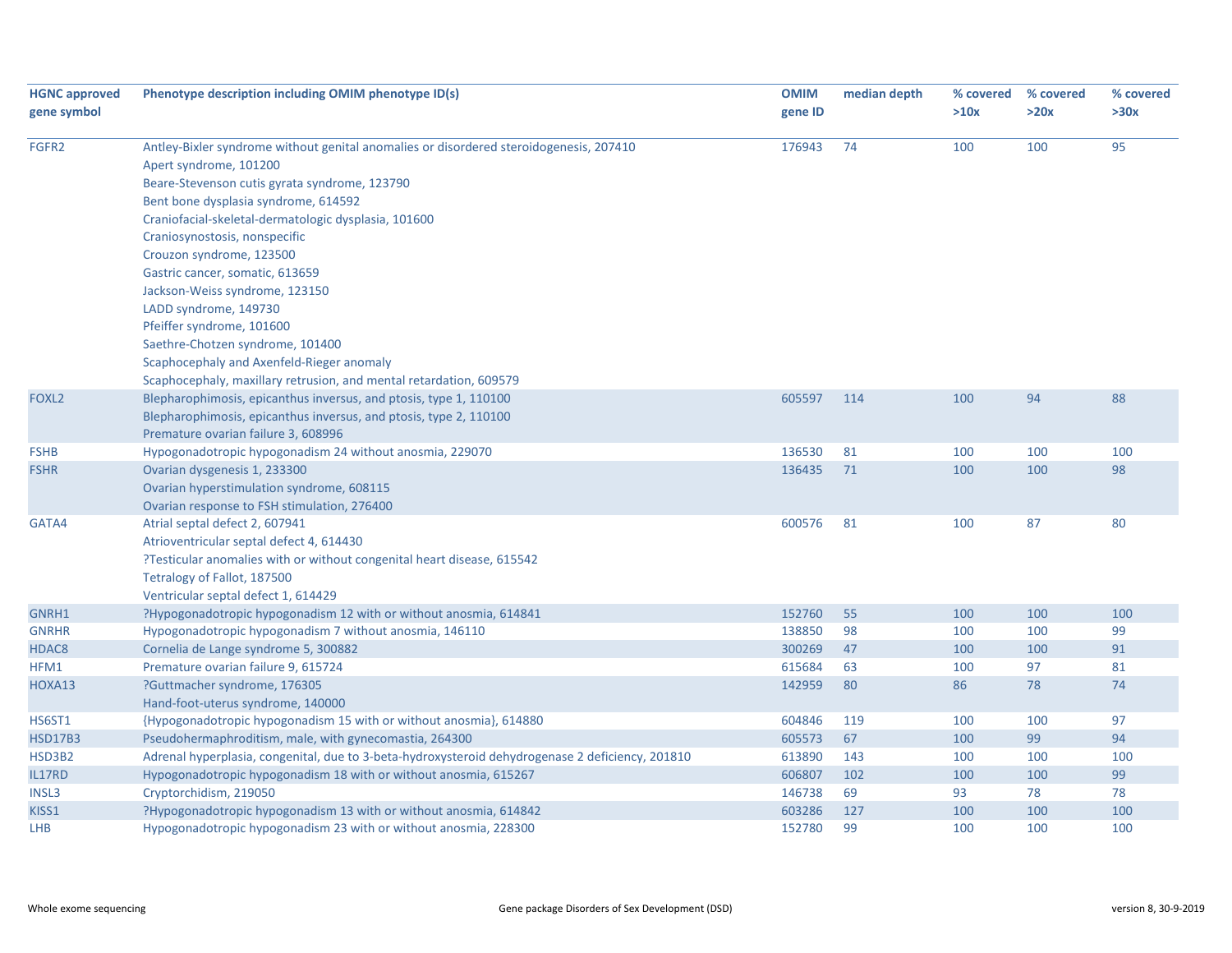| <b>HGNC approved</b> | Phenotype description including OMIM phenotype ID(s)                                             | <b>OMIM</b> | median depth | % covered | % covered | % covered |
|----------------------|--------------------------------------------------------------------------------------------------|-------------|--------------|-----------|-----------|-----------|
| gene symbol          |                                                                                                  | gene ID     |              | >10x      | >20x      | >30x      |
|                      |                                                                                                  |             |              |           |           |           |
| FGFR2                | Antley-Bixler syndrome without genital anomalies or disordered steroidogenesis, 207410           | 176943      | 74           | 100       | 100       | 95        |
|                      | Apert syndrome, 101200                                                                           |             |              |           |           |           |
|                      | Beare-Stevenson cutis gyrata syndrome, 123790                                                    |             |              |           |           |           |
|                      | Bent bone dysplasia syndrome, 614592                                                             |             |              |           |           |           |
|                      | Craniofacial-skeletal-dermatologic dysplasia, 101600                                             |             |              |           |           |           |
|                      | Craniosynostosis, nonspecific                                                                    |             |              |           |           |           |
|                      | Crouzon syndrome, 123500                                                                         |             |              |           |           |           |
|                      | Gastric cancer, somatic, 613659                                                                  |             |              |           |           |           |
|                      | Jackson-Weiss syndrome, 123150                                                                   |             |              |           |           |           |
|                      | LADD syndrome, 149730                                                                            |             |              |           |           |           |
|                      | Pfeiffer syndrome, 101600                                                                        |             |              |           |           |           |
|                      | Saethre-Chotzen syndrome, 101400                                                                 |             |              |           |           |           |
|                      | Scaphocephaly and Axenfeld-Rieger anomaly                                                        |             |              |           |           |           |
|                      | Scaphocephaly, maxillary retrusion, and mental retardation, 609579                               |             |              |           |           |           |
| FOXL <sub>2</sub>    | Blepharophimosis, epicanthus inversus, and ptosis, type 1, 110100                                | 605597      | 114          | 100       | 94        | 88        |
|                      | Blepharophimosis, epicanthus inversus, and ptosis, type 2, 110100                                |             |              |           |           |           |
|                      | Premature ovarian failure 3, 608996                                                              |             |              |           |           |           |
| <b>FSHB</b>          | Hypogonadotropic hypogonadism 24 without anosmia, 229070                                         | 136530      | 81           | 100       | 100       | 100       |
| <b>FSHR</b>          | Ovarian dysgenesis 1, 233300                                                                     | 136435      | 71           | 100       | 100       | 98        |
|                      | Ovarian hyperstimulation syndrome, 608115                                                        |             |              |           |           |           |
|                      | Ovarian response to FSH stimulation, 276400                                                      |             |              |           |           |           |
| GATA4                | Atrial septal defect 2, 607941                                                                   | 600576      | 81           | 100       | 87        | 80        |
|                      | Atrioventricular septal defect 4, 614430                                                         |             |              |           |           |           |
|                      | ?Testicular anomalies with or without congenital heart disease, 615542                           |             |              |           |           |           |
|                      | Tetralogy of Fallot, 187500                                                                      |             |              |           |           |           |
|                      | Ventricular septal defect 1, 614429                                                              |             |              |           |           |           |
| GNRH1                | ?Hypogonadotropic hypogonadism 12 with or without anosmia, 614841                                | 152760      | 55           | 100       | 100       | 100       |
| <b>GNRHR</b>         | Hypogonadotropic hypogonadism 7 without anosmia, 146110                                          | 138850      | 98           | 100       | 100       | 99        |
| HDAC8                | Cornelia de Lange syndrome 5, 300882                                                             | 300269      | 47           | 100       | 100       | 91        |
| HFM1                 | Premature ovarian failure 9, 615724                                                              | 615684      | 63           | 100       | 97        | 81        |
| HOXA13               | ?Guttmacher syndrome, 176305                                                                     | 142959      | 80           | 86        | 78        | 74        |
|                      | Hand-foot-uterus syndrome, 140000                                                                |             |              |           |           |           |
| HS6ST1               | {Hypogonadotropic hypogonadism 15 with or without anosmia}, 614880                               | 604846      | 119          | 100       | 100       | 97        |
| <b>HSD17B3</b>       | Pseudohermaphroditism, male, with gynecomastia, 264300                                           | 605573      | 67           | 100       | 99        | 94        |
| HSD3B2               | Adrenal hyperplasia, congenital, due to 3-beta-hydroxysteroid dehydrogenase 2 deficiency, 201810 | 613890      | 143          | 100       | 100       | 100       |
| IL17RD               | Hypogonadotropic hypogonadism 18 with or without anosmia, 615267                                 | 606807      | 102          | 100       | 100       | 99        |
| <b>INSL3</b>         | Cryptorchidism, 219050                                                                           | 146738      | 69           | 93        | 78        | 78        |
| KISS1                | ?Hypogonadotropic hypogonadism 13 with or without anosmia, 614842                                | 603286      | 127          | 100       | 100       | 100       |
| LHB                  | Hypogonadotropic hypogonadism 23 with or without anosmia, 228300                                 | 152780      | 99           | 100       | 100       | 100       |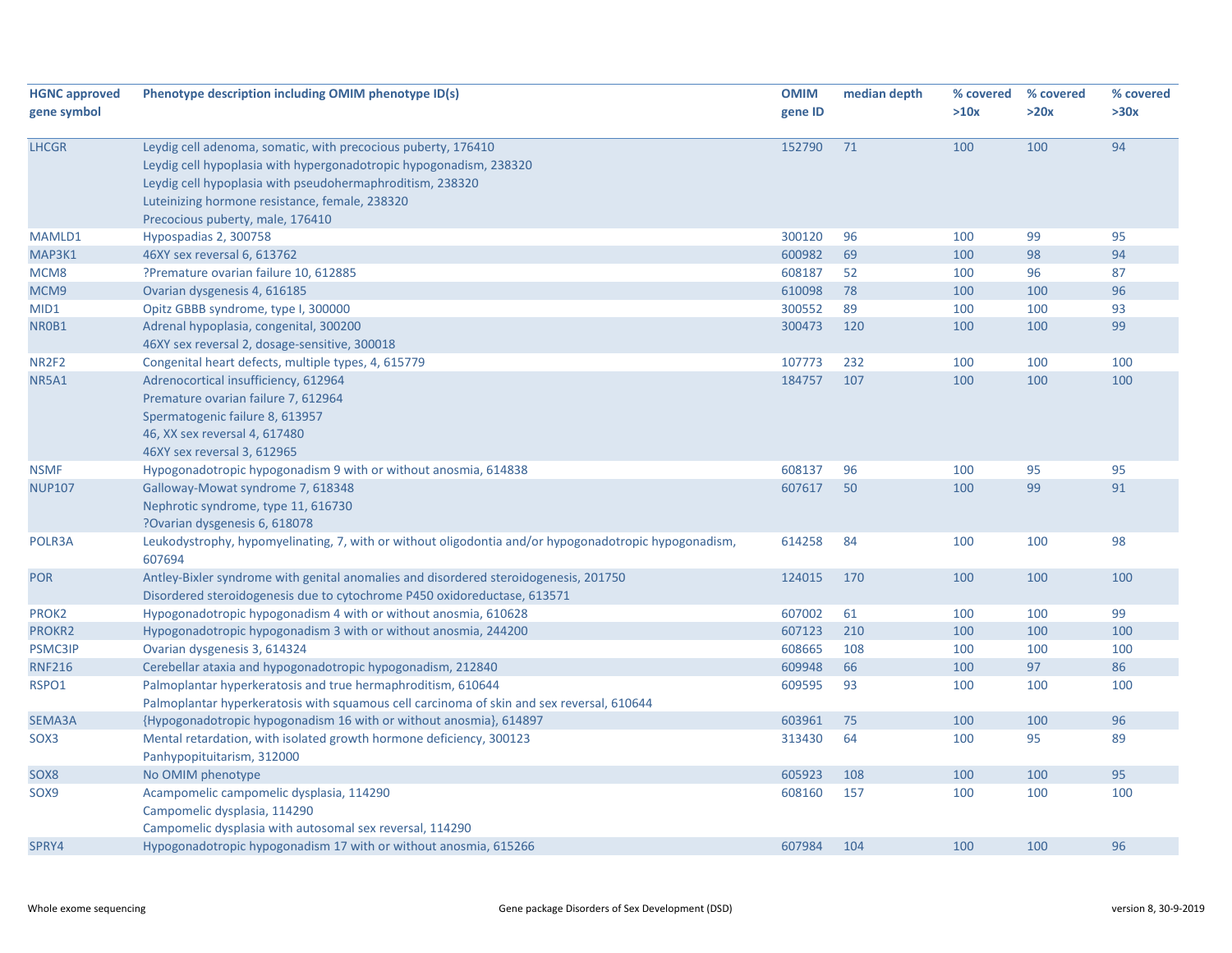| <b>HGNC approved</b>         | Phenotype description including OMIM phenotype ID(s)                                                            | <b>OMIM</b> | median depth | % covered | % covered | % covered |
|------------------------------|-----------------------------------------------------------------------------------------------------------------|-------------|--------------|-----------|-----------|-----------|
| gene symbol                  |                                                                                                                 | gene ID     |              | >10x      | >20x      | >30x      |
|                              |                                                                                                                 |             |              |           |           |           |
| <b>LHCGR</b>                 | Leydig cell adenoma, somatic, with precocious puberty, 176410                                                   | 152790      | 71           | 100       | 100       | 94        |
|                              | Leydig cell hypoplasia with hypergonadotropic hypogonadism, 238320                                              |             |              |           |           |           |
|                              | Leydig cell hypoplasia with pseudohermaphroditism, 238320                                                       |             |              |           |           |           |
|                              | Luteinizing hormone resistance, female, 238320                                                                  |             |              |           |           |           |
|                              | Precocious puberty, male, 176410                                                                                |             |              |           |           |           |
| MAMLD1                       | Hypospadias 2, 300758                                                                                           | 300120      | 96           | 100       | 99        | 95        |
| MAP3K1                       | 46XY sex reversal 6, 613762                                                                                     | 600982      | 69           | 100       | 98        | 94        |
| MCM8                         | ?Premature ovarian failure 10, 612885                                                                           | 608187      | 52           | 100       | 96        | 87        |
| MCM9                         | Ovarian dysgenesis 4, 616185                                                                                    | 610098      | 78           | 100       | 100       | 96        |
| MID1                         | Opitz GBBB syndrome, type I, 300000                                                                             | 300552      | 89           | 100       | 100       | 93        |
| NR0B1                        | Adrenal hypoplasia, congenital, 300200                                                                          | 300473      | 120          | 100       | 100       | 99        |
|                              | 46XY sex reversal 2, dosage-sensitive, 300018                                                                   |             |              |           |           |           |
| NR <sub>2F<sub>2</sub></sub> | Congenital heart defects, multiple types, 4, 615779                                                             | 107773      | 232          | 100       | 100       | 100       |
| <b>NR5A1</b>                 | Adrenocortical insufficiency, 612964                                                                            | 184757      | 107          | 100       | 100       | 100       |
|                              | Premature ovarian failure 7, 612964                                                                             |             |              |           |           |           |
|                              | Spermatogenic failure 8, 613957                                                                                 |             |              |           |           |           |
|                              | 46, XX sex reversal 4, 617480                                                                                   |             |              |           |           |           |
|                              | 46XY sex reversal 3, 612965                                                                                     |             |              |           |           |           |
| <b>NSMF</b>                  | Hypogonadotropic hypogonadism 9 with or without anosmia, 614838                                                 | 608137      | 96           | 100       | 95        | 95        |
| <b>NUP107</b>                | Galloway-Mowat syndrome 7, 618348                                                                               | 607617      | 50           | 100       | 99        | 91        |
|                              | Nephrotic syndrome, type 11, 616730                                                                             |             |              |           |           |           |
|                              | ?Ovarian dysgenesis 6, 618078                                                                                   |             |              |           |           |           |
| POLR3A                       | Leukodystrophy, hypomyelinating, 7, with or without oligodontia and/or hypogonadotropic hypogonadism,<br>607694 | 614258      | 84           | 100       | 100       | 98        |
| <b>POR</b>                   | Antley-Bixler syndrome with genital anomalies and disordered steroidogenesis, 201750                            | 124015      | 170          | 100       | 100       | 100       |
|                              | Disordered steroidogenesis due to cytochrome P450 oxidoreductase, 613571                                        |             |              |           |           |           |
| PROK2                        | Hypogonadotropic hypogonadism 4 with or without anosmia, 610628                                                 | 607002      | 61           | 100       | 100       | 99        |
| PROKR2                       | Hypogonadotropic hypogonadism 3 with or without anosmia, 244200                                                 | 607123      | 210          | 100       | 100       | 100       |
| <b>PSMC3IP</b>               | Ovarian dysgenesis 3, 614324                                                                                    | 608665      | 108          | 100       | 100       | 100       |
| <b>RNF216</b>                | Cerebellar ataxia and hypogonadotropic hypogonadism, 212840                                                     | 609948      | 66           | 100       | 97        | 86        |
| RSPO1                        | Palmoplantar hyperkeratosis and true hermaphroditism, 610644                                                    | 609595      | 93           | 100       | 100       | 100       |
|                              | Palmoplantar hyperkeratosis with squamous cell carcinoma of skin and sex reversal, 610644                       |             |              |           |           |           |
| SEMA3A                       | {Hypogonadotropic hypogonadism 16 with or without anosmia}, 614897                                              | 603961      | 75           | 100       | 100       | 96        |
| SOX3                         | Mental retardation, with isolated growth hormone deficiency, 300123                                             | 313430      | 64           | 100       | 95        | 89        |
|                              | Panhypopituitarism, 312000                                                                                      |             |              |           |           |           |
| SOX8                         | No OMIM phenotype                                                                                               | 605923      | 108          | 100       | 100       | 95        |
| SOX9                         | Acampomelic campomelic dysplasia, 114290                                                                        | 608160      | 157          | 100       | 100       | 100       |
|                              | Campomelic dysplasia, 114290                                                                                    |             |              |           |           |           |
|                              | Campomelic dysplasia with autosomal sex reversal, 114290                                                        |             |              |           |           |           |
| SPRY4                        | Hypogonadotropic hypogonadism 17 with or without anosmia, 615266                                                | 607984      | 104          | 100       | 100       | 96        |